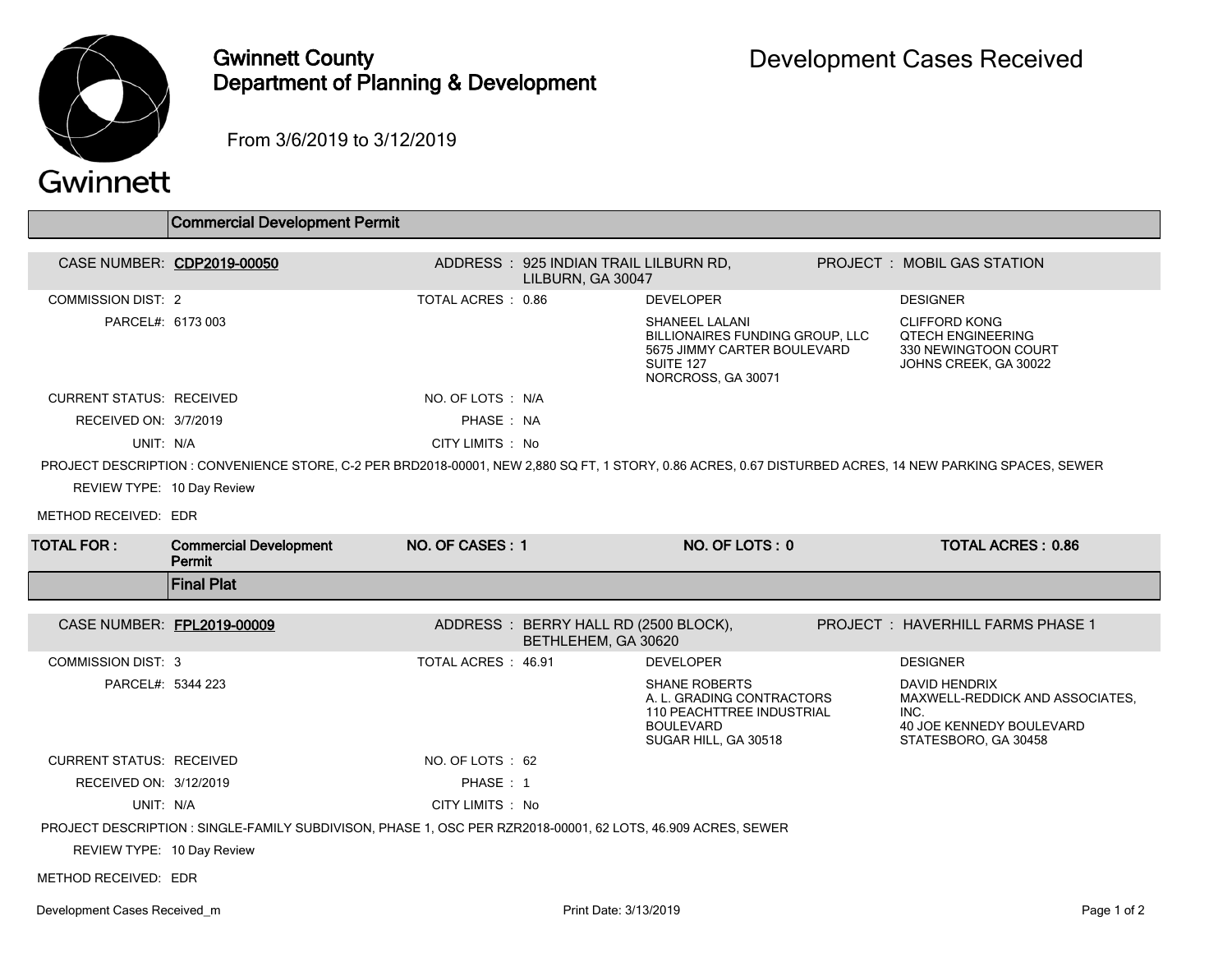

## Gwinnett County Department of Planning & Development

From 3/6/2019 to 3/12/2019

## Gwinnett

|                                 | <b>Commercial Development Permit</b>                                                                                                                     |                     |                                                             |                                                                                                                                   |                                                                                                                            |
|---------------------------------|----------------------------------------------------------------------------------------------------------------------------------------------------------|---------------------|-------------------------------------------------------------|-----------------------------------------------------------------------------------------------------------------------------------|----------------------------------------------------------------------------------------------------------------------------|
| CASE NUMBER: CDP2019-00050      |                                                                                                                                                          |                     | ADDRESS: 925 INDIAN TRAIL LILBURN RD,<br>LILBURN, GA 30047  |                                                                                                                                   | <b>PROJECT : MOBIL GAS STATION</b>                                                                                         |
| <b>COMMISSION DIST: 2</b>       |                                                                                                                                                          | TOTAL ACRES: 0.86   |                                                             | <b>DEVELOPER</b>                                                                                                                  | <b>DESIGNER</b>                                                                                                            |
| PARCEL#: 6173 003               |                                                                                                                                                          |                     |                                                             | <b>SHANEEL LALANI</b><br>BILLIONAIRES FUNDING GROUP, LLC<br>5675 JIMMY CARTER BOULEVARD<br>SUITE 127<br>NORCROSS, GA 30071        | <b>CLIFFORD KONG</b><br><b>QTECH ENGINEERING</b><br>330 NEWINGTOON COURT<br>JOHNS CREEK, GA 30022                          |
| <b>CURRENT STATUS: RECEIVED</b> |                                                                                                                                                          | NO. OF LOTS : N/A   |                                                             |                                                                                                                                   |                                                                                                                            |
| RECEIVED ON: 3/7/2019           |                                                                                                                                                          | PHASE: NA           |                                                             |                                                                                                                                   |                                                                                                                            |
| UNIT: N/A                       |                                                                                                                                                          | CITY LIMITS: No     |                                                             |                                                                                                                                   |                                                                                                                            |
|                                 | PROJECT DESCRIPTION : CONVENIENCE STORE, C-2 PER BRD2018-00001, NEW 2,880 SQ FT, 1 STORY, 0.86 ACRES, 0.67 DISTURBED ACRES, 14 NEW PARKING SPACES, SEWER |                     |                                                             |                                                                                                                                   |                                                                                                                            |
| REVIEW TYPE: 10 Day Review      |                                                                                                                                                          |                     |                                                             |                                                                                                                                   |                                                                                                                            |
| METHOD RECEIVED: EDR            |                                                                                                                                                          |                     |                                                             |                                                                                                                                   |                                                                                                                            |
| <b>TOTAL FOR:</b>               | <b>Commercial Development</b><br>Permit                                                                                                                  | NO. OF CASES: 1     |                                                             | NO. OF LOTS: 0                                                                                                                    | <b>TOTAL ACRES: 0.86</b>                                                                                                   |
|                                 |                                                                                                                                                          |                     |                                                             |                                                                                                                                   |                                                                                                                            |
|                                 | <b>Final Plat</b>                                                                                                                                        |                     |                                                             |                                                                                                                                   |                                                                                                                            |
| CASE NUMBER: FPL2019-00009      |                                                                                                                                                          |                     | ADDRESS: BERRY HALL RD (2500 BLOCK),<br>BETHLEHEM, GA 30620 |                                                                                                                                   | <b>PROJECT: HAVERHILL FARMS PHASE 1</b>                                                                                    |
| <b>COMMISSION DIST: 3</b>       |                                                                                                                                                          | TOTAL ACRES : 46.91 |                                                             | <b>DEVELOPER</b>                                                                                                                  | <b>DESIGNER</b>                                                                                                            |
| PARCEL#: 5344 223               |                                                                                                                                                          |                     |                                                             | <b>SHANE ROBERTS</b><br>A. L. GRADING CONTRACTORS<br><b>110 PEACHTTREE INDUSTRIAL</b><br><b>BOULEVARD</b><br>SUGAR HILL, GA 30518 | <b>DAVID HENDRIX</b><br>MAXWELL-REDDICK AND ASSOCIATES.<br>INC.<br><b>40 JOE KENNEDY BOULEVARD</b><br>STATESBORO, GA 30458 |
| <b>CURRENT STATUS: RECEIVED</b> |                                                                                                                                                          | NO. OF LOTS : 62    |                                                             |                                                                                                                                   |                                                                                                                            |
| RECEIVED ON: 3/12/2019          |                                                                                                                                                          | PHASE: 1            |                                                             |                                                                                                                                   |                                                                                                                            |
| UNIT: N/A                       |                                                                                                                                                          | CITY LIMITS : No    |                                                             |                                                                                                                                   |                                                                                                                            |
|                                 | PROJECT DESCRIPTION : SINGLE-FAMILY SUBDIVISON, PHASE 1, OSC PER RZR2018-00001, 62 LOTS, 46.909 ACRES, SEWER                                             |                     |                                                             |                                                                                                                                   |                                                                                                                            |
| REVIEW TYPE: 10 Day Review      |                                                                                                                                                          |                     |                                                             |                                                                                                                                   |                                                                                                                            |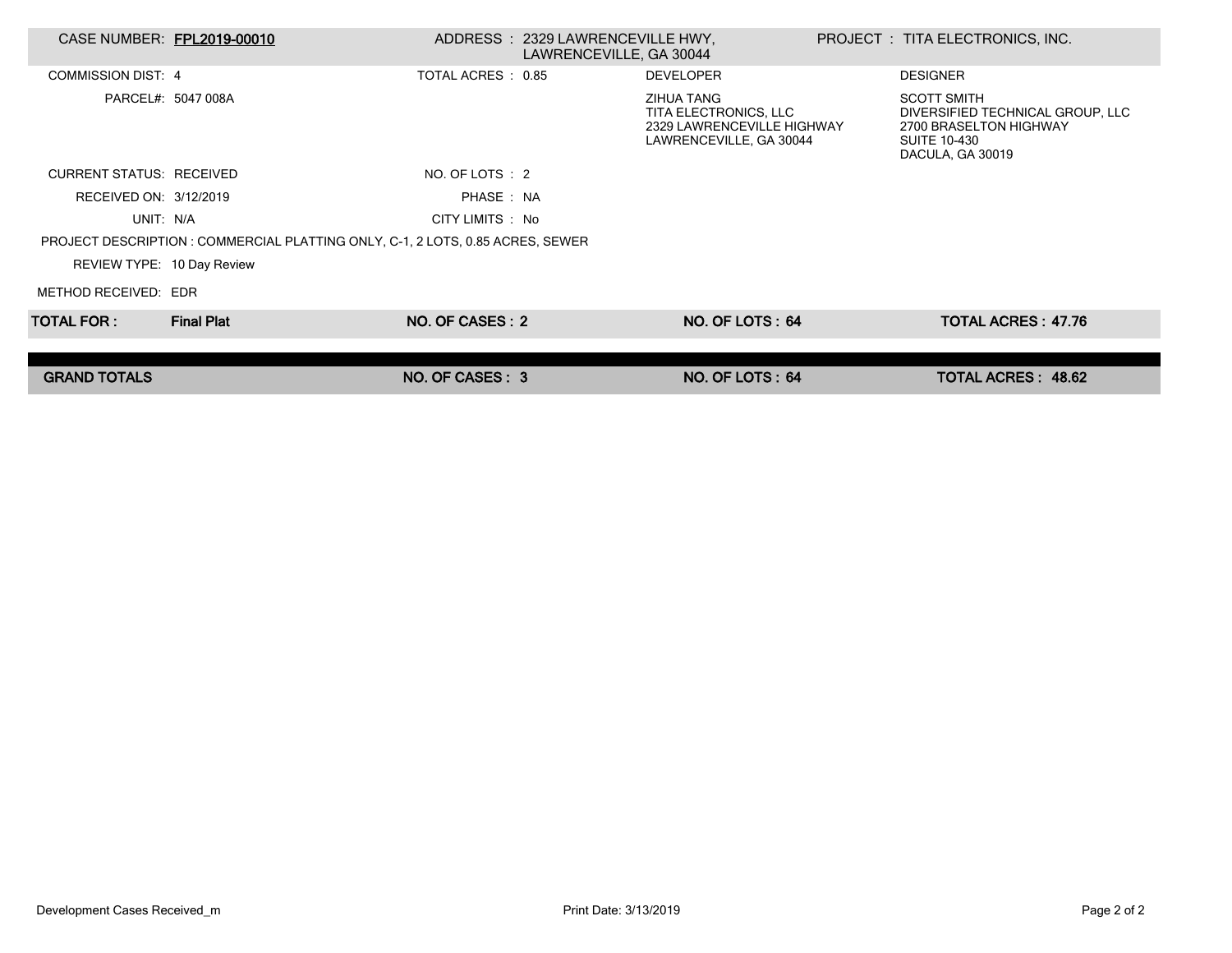| CASE NUMBER: FPL2019-00010      |                                                                                |                    | ADDRESS : 2329 LAWRENCEVILLE HWY,<br>LAWRENCEVILLE, GA 30044 |                                                                                                     | PROJECT : TITA ELECTRONICS, INC.                                                                                            |  |
|---------------------------------|--------------------------------------------------------------------------------|--------------------|--------------------------------------------------------------|-----------------------------------------------------------------------------------------------------|-----------------------------------------------------------------------------------------------------------------------------|--|
| COMMISSION DIST: 4              |                                                                                | TOTAL ACRES : 0.85 |                                                              | <b>DEVELOPER</b>                                                                                    | <b>DESIGNER</b>                                                                                                             |  |
|                                 | PARCEL#: 5047 008A                                                             |                    |                                                              | <b>ZIHUA TANG</b><br>TITA ELECTRONICS, LLC<br>2329 LAWRENCEVILLE HIGHWAY<br>LAWRENCEVILLE, GA 30044 | <b>SCOTT SMITH</b><br>DIVERSIFIED TECHNICAL GROUP, LLC<br>2700 BRASELTON HIGHWAY<br><b>SUITE 10-430</b><br>DACULA, GA 30019 |  |
| <b>CURRENT STATUS: RECEIVED</b> |                                                                                | NO. OF LOTS : 2    |                                                              |                                                                                                     |                                                                                                                             |  |
| RECEIVED ON: 3/12/2019          |                                                                                | PHASE: NA          |                                                              |                                                                                                     |                                                                                                                             |  |
| UNIT: N/A                       |                                                                                | CITY LIMITS : No   |                                                              |                                                                                                     |                                                                                                                             |  |
|                                 | PROJECT DESCRIPTION : COMMERCIAL PLATTING ONLY, C-1, 2 LOTS, 0.85 ACRES, SEWER |                    |                                                              |                                                                                                     |                                                                                                                             |  |
| REVIEW TYPE: 10 Day Review      |                                                                                |                    |                                                              |                                                                                                     |                                                                                                                             |  |
| METHOD RECEIVED: EDR            |                                                                                |                    |                                                              |                                                                                                     |                                                                                                                             |  |
| TOTAL FOR : I                   | <b>Final Plat</b>                                                              | NO. OF CASES: 2    |                                                              | NO. OF LOTS: 64                                                                                     | <b>TOTAL ACRES: 47.76</b>                                                                                                   |  |
|                                 |                                                                                |                    |                                                              |                                                                                                     |                                                                                                                             |  |
| <b>GRAND TOTALS</b>             |                                                                                | NO. OF CASES: 3    |                                                              | NO. OF LOTS: 64                                                                                     | <b>TOTAL ACRES: 48.62</b>                                                                                                   |  |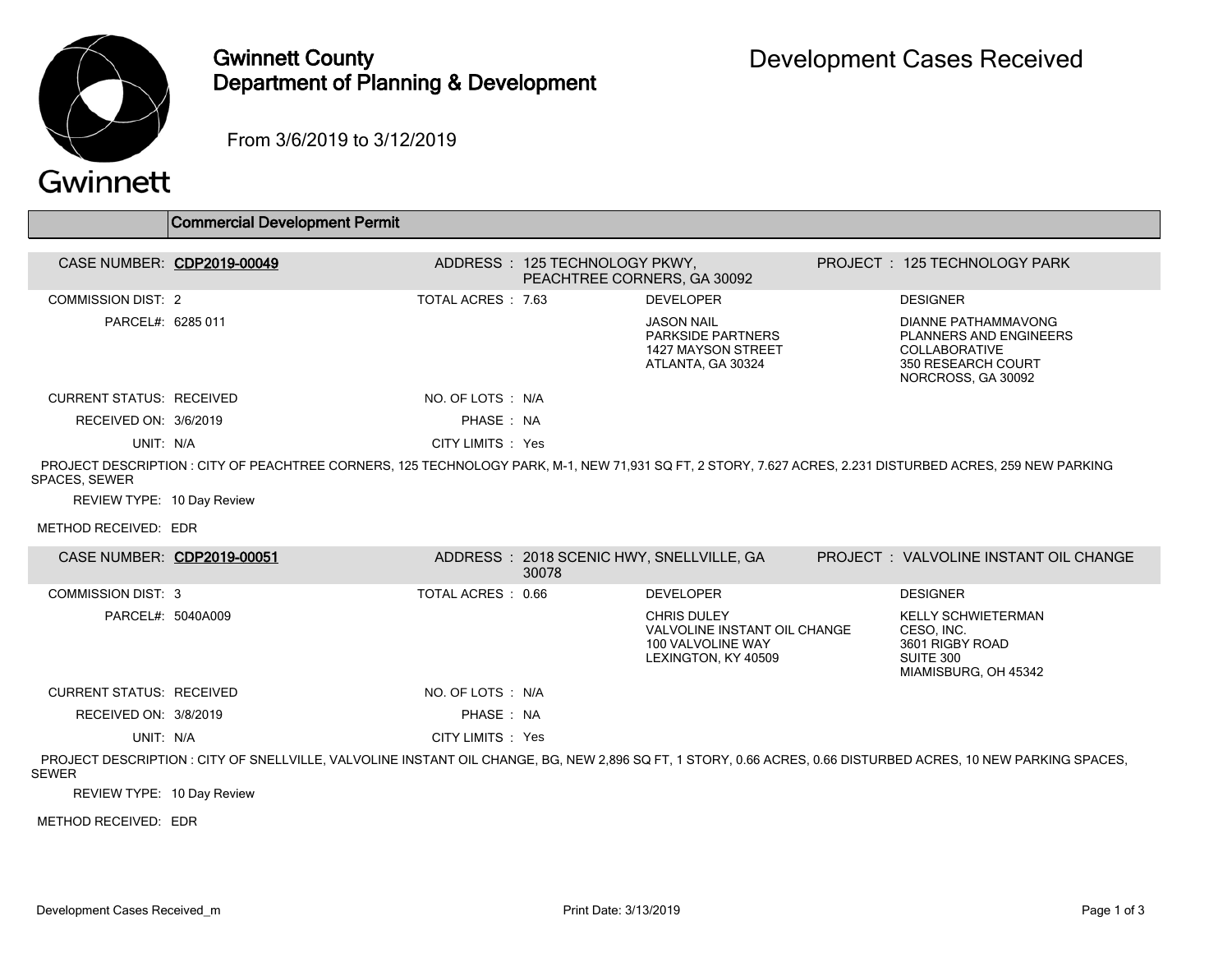

## Gwinnett County Department of Planning & Development

From 3/6/2019 to 3/12/2019

## Gwinnett

|                                             | <b>Commercial Development Permit</b>                                                                                                                           |                    |                                                              |                                                                                                |                                                                                                                   |
|---------------------------------------------|----------------------------------------------------------------------------------------------------------------------------------------------------------------|--------------------|--------------------------------------------------------------|------------------------------------------------------------------------------------------------|-------------------------------------------------------------------------------------------------------------------|
| CASE NUMBER: CDP2019-00049                  |                                                                                                                                                                |                    | ADDRESS: 125 TECHNOLOGY PKWY,<br>PEACHTREE CORNERS, GA 30092 |                                                                                                | PROJECT: 125 TECHNOLOGY PARK                                                                                      |
| <b>COMMISSION DIST: 2</b>                   |                                                                                                                                                                | TOTAL ACRES: 7.63  |                                                              | <b>DEVELOPER</b>                                                                               | <b>DESIGNER</b>                                                                                                   |
| PARCEL#: 6285 011                           |                                                                                                                                                                |                    |                                                              | <b>JASON NAIL</b><br>PARKSIDE PARTNERS<br>1427 MAYSON STREET<br>ATLANTA, GA 30324              | DIANNE PATHAMMAVONG<br>PLANNERS AND ENGINEERS<br><b>COLLABORATIVE</b><br>350 RESEARCH COURT<br>NORCROSS, GA 30092 |
| <b>CURRENT STATUS: RECEIVED</b>             |                                                                                                                                                                | NO. OF LOTS : N/A  |                                                              |                                                                                                |                                                                                                                   |
| RECEIVED ON: 3/6/2019                       |                                                                                                                                                                | PHASE: NA          |                                                              |                                                                                                |                                                                                                                   |
| UNIT: N/A                                   |                                                                                                                                                                | CITY LIMITS : Yes  |                                                              |                                                                                                |                                                                                                                   |
| SPACES, SEWER<br>REVIEW TYPE: 10 Day Review | PROJECT DESCRIPTION : CITY OF PEACHTREE CORNERS, 125 TECHNOLOGY PARK, M-1, NEW 71,931 SQ FT, 2 STORY, 7.627 ACRES, 2.231 DISTURBED ACRES, 259 NEW PARKING      |                    |                                                              |                                                                                                |                                                                                                                   |
| METHOD RECEIVED: EDR                        |                                                                                                                                                                |                    |                                                              |                                                                                                |                                                                                                                   |
| CASE NUMBER: CDP2019-00051                  |                                                                                                                                                                |                    | 30078                                                        | ADDRESS: 2018 SCENIC HWY, SNELLVILLE, GA                                                       | PROJECT: VALVOLINE INSTANT OIL CHANGE                                                                             |
| <b>COMMISSION DIST: 3</b>                   |                                                                                                                                                                | TOTAL ACRES : 0.66 |                                                              | <b>DEVELOPER</b>                                                                               | <b>DESIGNER</b>                                                                                                   |
| PARCEL#: 5040A009                           |                                                                                                                                                                |                    |                                                              | <b>CHRIS DULEY</b><br>VALVOLINE INSTANT OIL CHANGE<br>100 VALVOLINE WAY<br>LEXINGTON, KY 40509 | <b>KELLY SCHWIETERMAN</b><br>CESO, INC.<br>3601 RIGBY ROAD<br>SUITE 300<br>MIAMISBURG, OH 45342                   |
| <b>CURRENT STATUS: RECEIVED</b>             |                                                                                                                                                                | NO. OF LOTS : N/A  |                                                              |                                                                                                |                                                                                                                   |
| RECEIVED ON: 3/8/2019                       |                                                                                                                                                                | PHASE: NA          |                                                              |                                                                                                |                                                                                                                   |
| UNIT: N/A                                   |                                                                                                                                                                | CITY LIMITS : Yes  |                                                              |                                                                                                |                                                                                                                   |
| <b>SEWER</b>                                | PROJECT DESCRIPTION : CITY OF SNELLVILLE, VALVOLINE INSTANT OIL CHANGE, BG, NEW 2,896 SQ FT, 1 STORY, 0.66 ACRES, 0.66 DISTURBED ACRES, 10 NEW PARKING SPACES, |                    |                                                              |                                                                                                |                                                                                                                   |
| REVIEW TYPE: 10 Day Review                  |                                                                                                                                                                |                    |                                                              |                                                                                                |                                                                                                                   |

METHOD RECEIVED: EDR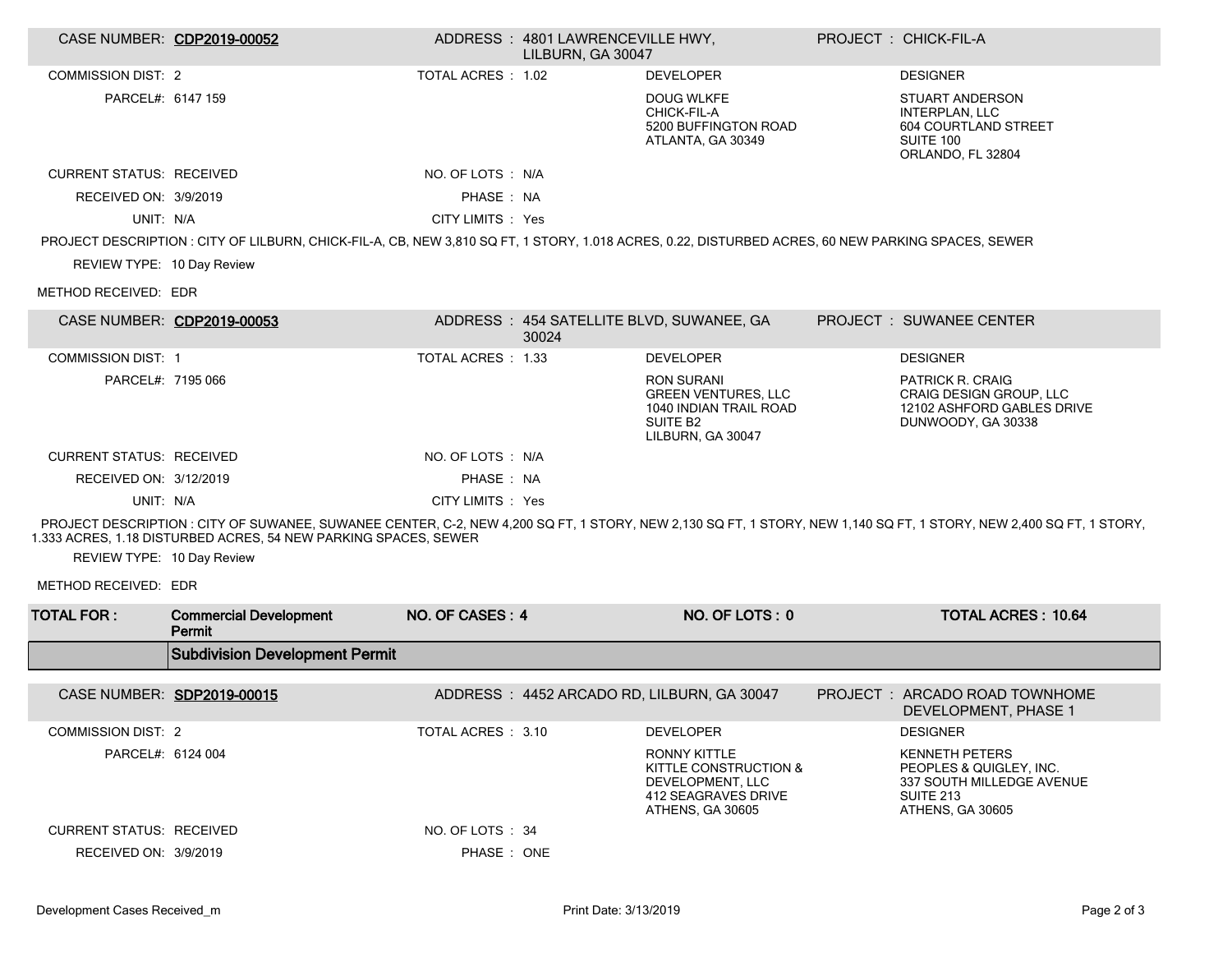| CASE NUMBER: CDP2019-00052      |                                                                                                                                                   |                    | ADDRESS: 4801 LAWRENCEVILLE HWY.<br>LILBURN. GA 30047 |                                                                                                                        | PROJECT : CHICK-FIL-A                                                                                                                                              |
|---------------------------------|---------------------------------------------------------------------------------------------------------------------------------------------------|--------------------|-------------------------------------------------------|------------------------------------------------------------------------------------------------------------------------|--------------------------------------------------------------------------------------------------------------------------------------------------------------------|
| <b>COMMISSION DIST: 2</b>       |                                                                                                                                                   | TOTAL ACRES : 1.02 |                                                       | <b>DEVELOPER</b>                                                                                                       | <b>DESIGNER</b>                                                                                                                                                    |
| PARCEL#: 6147 159               |                                                                                                                                                   |                    |                                                       | <b>DOUG WLKFE</b><br>CHICK-FIL-A<br>5200 BUFFINGTON ROAD<br>ATLANTA, GA 30349                                          | <b>STUART ANDERSON</b><br><b>INTERPLAN, LLC</b><br>604 COURTLAND STREET<br>SUITE 100<br>ORLANDO, FL 32804                                                          |
| <b>CURRENT STATUS: RECEIVED</b> |                                                                                                                                                   | NO. OF LOTS : N/A  |                                                       |                                                                                                                        |                                                                                                                                                                    |
| RECEIVED ON: 3/9/2019           |                                                                                                                                                   | PHASE: NA          |                                                       |                                                                                                                        |                                                                                                                                                                    |
| UNIT: N/A                       |                                                                                                                                                   | CITY LIMITS : Yes  |                                                       |                                                                                                                        |                                                                                                                                                                    |
|                                 | PROJECT DESCRIPTION: CITY OF LILBURN, CHICK-FIL-A, CB, NEW 3,810 SQ FT, 1 STORY, 1.018 ACRES, 0.22, DISTURBED ACRES, 60 NEW PARKING SPACES, SEWER |                    |                                                       |                                                                                                                        |                                                                                                                                                                    |
| REVIEW TYPE: 10 Day Review      |                                                                                                                                                   |                    |                                                       |                                                                                                                        |                                                                                                                                                                    |
| METHOD RECEIVED: EDR            |                                                                                                                                                   |                    |                                                       |                                                                                                                        |                                                                                                                                                                    |
| CASE NUMBER: CDP2019-00053      |                                                                                                                                                   |                    | 30024                                                 | ADDRESS: 454 SATELLITE BLVD, SUWANEE, GA                                                                               | <b>PROJECT : SUWANEE CENTER</b>                                                                                                                                    |
| <b>COMMISSION DIST: 1</b>       |                                                                                                                                                   | TOTAL ACRES : 1.33 |                                                       | <b>DEVELOPER</b>                                                                                                       | <b>DESIGNER</b>                                                                                                                                                    |
| PARCEL#: 7195 066               |                                                                                                                                                   |                    |                                                       | <b>RON SURANI</b><br><b>GREEN VENTURES, LLC</b><br>1040 INDIAN TRAIL ROAD<br>SUITE B <sub>2</sub><br>LILBURN, GA 30047 | <b>PATRICK R. CRAIG</b><br><b>CRAIG DESIGN GROUP, LLC</b><br>12102 ASHFORD GABLES DRIVE<br>DUNWOODY, GA 30338                                                      |
| <b>CURRENT STATUS: RECEIVED</b> |                                                                                                                                                   | NO. OF LOTS : N/A  |                                                       |                                                                                                                        |                                                                                                                                                                    |
| RECEIVED ON: 3/12/2019          |                                                                                                                                                   | PHASE: NA          |                                                       |                                                                                                                        |                                                                                                                                                                    |
| UNIT: N/A                       |                                                                                                                                                   | CITY LIMITS : Yes  |                                                       |                                                                                                                        |                                                                                                                                                                    |
|                                 | 1.333 ACRES, 1.18 DISTURBED ACRES, 54 NEW PARKING SPACES, SEWER                                                                                   |                    |                                                       |                                                                                                                        | PROJECT DESCRIPTION: CITY OF SUWANEE, SUWANEE CENTER, C-2, NEW 4,200 SQ FT, 1 STORY, NEW 2,130 SQ FT, 1 STORY, NEW 1,140 SQ FT, 1 STORY, NEW 2,400 SQ FT, 1 STORY, |
| REVIEW TYPE: 10 Day Review      |                                                                                                                                                   |                    |                                                       |                                                                                                                        |                                                                                                                                                                    |
| METHOD RECEIVED: EDR            |                                                                                                                                                   |                    |                                                       |                                                                                                                        |                                                                                                                                                                    |
| <b>TOTAL FOR:</b>               | <b>Commercial Development</b><br>Permit                                                                                                           | NO. OF CASES: 4    |                                                       | NO. OF LOTS: 0                                                                                                         | <b>TOTAL ACRES: 10.64</b>                                                                                                                                          |
|                                 | <b>Subdivision Development Permit</b>                                                                                                             |                    |                                                       |                                                                                                                        |                                                                                                                                                                    |
| CASE NUMBER: SDP2019-00015      |                                                                                                                                                   |                    |                                                       | ADDRESS: 4452 ARCADO RD, LILBURN, GA 30047                                                                             | PROJECT : ARCADO ROAD TOWNHOME<br>DEVELOPMENT, PHASE 1                                                                                                             |
| <b>COMMISSION DIST: 2</b>       |                                                                                                                                                   | TOTAL ACRES : 3.10 |                                                       | <b>DEVELOPER</b>                                                                                                       | <b>DESIGNER</b>                                                                                                                                                    |
| PARCEL#: 6124 004               |                                                                                                                                                   |                    |                                                       | <b>RONNY KITTLE</b><br>KITTLE CONSTRUCTION &<br>DEVELOPMENT, LLC<br>412 SEAGRAVES DRIVE<br>ATHENS, GA 30605            | <b>KENNETH PETERS</b><br>PEOPLES & QUIGLEY. INC.<br>337 SOUTH MILLEDGE AVENUE<br><b>SUITE 213</b><br>ATHENS, GA 30605                                              |
| <b>CURRENT STATUS: RECEIVED</b> |                                                                                                                                                   | NO. OF LOTS : 34   |                                                       |                                                                                                                        |                                                                                                                                                                    |
| RECEIVED ON: 3/9/2019           |                                                                                                                                                   | PHASE: ONE         |                                                       |                                                                                                                        |                                                                                                                                                                    |